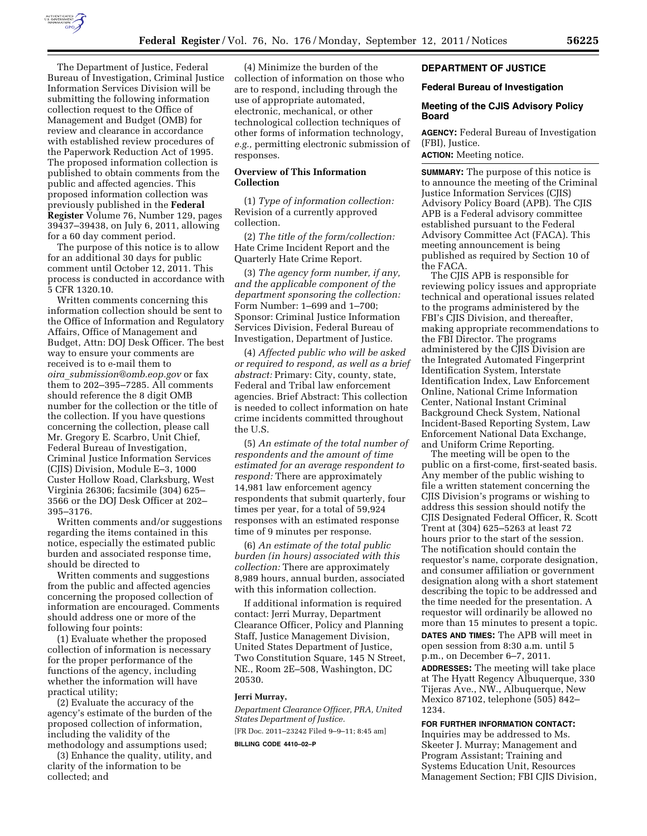

The Department of Justice, Federal Bureau of Investigation, Criminal Justice Information Services Division will be submitting the following information collection request to the Office of Management and Budget (OMB) for review and clearance in accordance with established review procedures of the Paperwork Reduction Act of 1995. The proposed information collection is published to obtain comments from the public and affected agencies. This proposed information collection was previously published in the **Federal Register** Volume 76, Number 129, pages 39437–39438, on July 6, 2011, allowing for a 60 day comment period.

The purpose of this notice is to allow for an additional 30 days for public comment until October 12, 2011. This process is conducted in accordance with 5 CFR 1320.10.

Written comments concerning this information collection should be sent to the Office of Information and Regulatory Affairs, Office of Management and Budget, Attn: DOJ Desk Officer. The best way to ensure your comments are received is to e-mail them to *oira*\_*[submission@omb.eop.gov](mailto:oira_submission@omb.eop.gov)* or fax them to 202–395–7285. All comments should reference the 8 digit OMB number for the collection or the title of the collection. If you have questions concerning the collection, please call Mr. Gregory E. Scarbro, Unit Chief, Federal Bureau of Investigation, Criminal Justice Information Services (CJIS) Division, Module E–3, 1000 Custer Hollow Road, Clarksburg, West Virginia 26306; facsimile (304) 625– 3566 or the DOJ Desk Officer at 202– 395–3176.

Written comments and/or suggestions regarding the items contained in this notice, especially the estimated public burden and associated response time, should be directed to

Written comments and suggestions from the public and affected agencies concerning the proposed collection of information are encouraged. Comments should address one or more of the following four points:

(1) Evaluate whether the proposed collection of information is necessary for the proper performance of the functions of the agency, including whether the information will have practical utility;

(2) Evaluate the accuracy of the agency's estimate of the burden of the proposed collection of information, including the validity of the methodology and assumptions used;

(3) Enhance the quality, utility, and clarity of the information to be collected; and

(4) Minimize the burden of the collection of information on those who are to respond, including through the use of appropriate automated, electronic, mechanical, or other technological collection techniques of other forms of information technology, *e.g.,* permitting electronic submission of responses.

### **Overview of This Information Collection**

(1) *Type of information collection:*  Revision of a currently approved collection.

(2) *The title of the form/collection:*  Hate Crime Incident Report and the Quarterly Hate Crime Report.

(3) *The agency form number, if any, and the applicable component of the department sponsoring the collection:*  Form Number: 1–699 and 1–700; Sponsor: Criminal Justice Information Services Division, Federal Bureau of Investigation, Department of Justice.

(4) *Affected public who will be asked or required to respond, as well as a brief abstract:* Primary: City, county, state, Federal and Tribal law enforcement agencies. Brief Abstract: This collection is needed to collect information on hate crime incidents committed throughout the U.S.

(5) *An estimate of the total number of respondents and the amount of time estimated for an average respondent to respond:* There are approximately 14,981 law enforcement agency respondents that submit quarterly, four times per year, for a total of 59,924 responses with an estimated response time of 9 minutes per response.

(6) *An estimate of the total public burden (in hours) associated with this collection:* There are approximately 8,989 hours, annual burden, associated with this information collection.

If additional information is required contact: Jerri Murray, Department Clearance Officer, Policy and Planning Staff, Justice Management Division, United States Department of Justice, Two Constitution Square, 145 N Street, NE., Room 2E–508, Washington, DC 20530.

## **Jerri Murray,**

*Department Clearance Officer, PRA, United States Department of Justice.*  [FR Doc. 2011–23242 Filed 9–9–11; 8:45 am]

**BILLING CODE 4410–02–P** 

#### **DEPARTMENT OF JUSTICE**

#### **Federal Bureau of Investigation**

#### **Meeting of the CJIS Advisory Policy Board**

**AGENCY:** Federal Bureau of Investigation (FBI), Justice.

**ACTION:** Meeting notice.

**SUMMARY:** The purpose of this notice is to announce the meeting of the Criminal Justice Information Services (CJIS) Advisory Policy Board (APB). The CJIS APB is a Federal advisory committee established pursuant to the Federal Advisory Committee Act (FACA). This meeting announcement is being published as required by Section 10 of the FACA.

The CJIS APB is responsible for reviewing policy issues and appropriate technical and operational issues related to the programs administered by the FBI's CJIS Division, and thereafter, making appropriate recommendations to the FBI Director. The programs administered by the CJIS Division are the Integrated Automated Fingerprint Identification System, Interstate Identification Index, Law Enforcement Online, National Crime Information Center, National Instant Criminal Background Check System, National Incident-Based Reporting System, Law Enforcement National Data Exchange, and Uniform Crime Reporting.

The meeting will be open to the public on a first-come, first-seated basis. Any member of the public wishing to file a written statement concerning the CJIS Division's programs or wishing to address this session should notify the CJIS Designated Federal Officer, R. Scott Trent at (304) 625–5263 at least 72 hours prior to the start of the session. The notification should contain the requestor's name, corporate designation, and consumer affiliation or government designation along with a short statement describing the topic to be addressed and the time needed for the presentation. A requestor will ordinarily be allowed no more than 15 minutes to present a topic. **DATES AND TIMES:** The APB will meet in open session from 8:30 a.m. until 5 p.m., on December 6–7, 2011. **ADDRESSES:** The meeting will take place at The Hyatt Regency Albuquerque, 330 Tijeras Ave., NW., Albuquerque, New Mexico 87102, telephone (505) 842– 1234.

## **FOR FURTHER INFORMATION CONTACT:**

Inquiries may be addressed to Ms. Skeeter J. Murray; Management and Program Assistant; Training and Systems Education Unit, Resources Management Section; FBI CJIS Division,